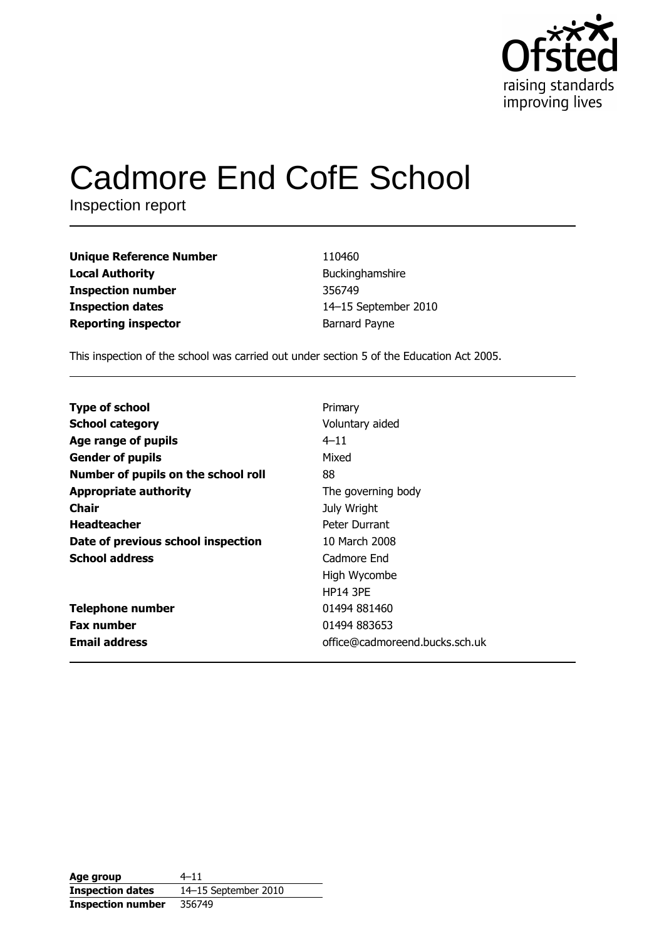

# **Cadmore End CofE School**

Inspection report

**Unique Reference Number Local Authority Inspection number Inspection dates Reporting inspector** 

110460 Buckinghamshire 356749 14-15 September 2010 **Barnard Payne** 

This inspection of the school was carried out under section 5 of the Education Act 2005.

| <b>Type of school</b>               | Primary                        |
|-------------------------------------|--------------------------------|
| <b>School category</b>              | Voluntary aided                |
| Age range of pupils                 | $4 - 11$                       |
| <b>Gender of pupils</b>             | Mixed                          |
| Number of pupils on the school roll | 88                             |
| <b>Appropriate authority</b>        | The governing body             |
| Chair                               | July Wright                    |
| <b>Headteacher</b>                  | Peter Durrant                  |
| Date of previous school inspection  | 10 March 2008                  |
| <b>School address</b>               | Cadmore End                    |
|                                     | High Wycombe                   |
|                                     | <b>HP14 3PE</b>                |
| <b>Telephone number</b>             | 01494 881460                   |
| <b>Fax number</b>                   | 01494 883653                   |
| <b>Email address</b>                | office@cadmoreend.bucks.sch.uk |

| Age group                | $4 - 11$             |
|--------------------------|----------------------|
| <b>Inspection dates</b>  | 14-15 September 2010 |
| <b>Inspection number</b> | 356749               |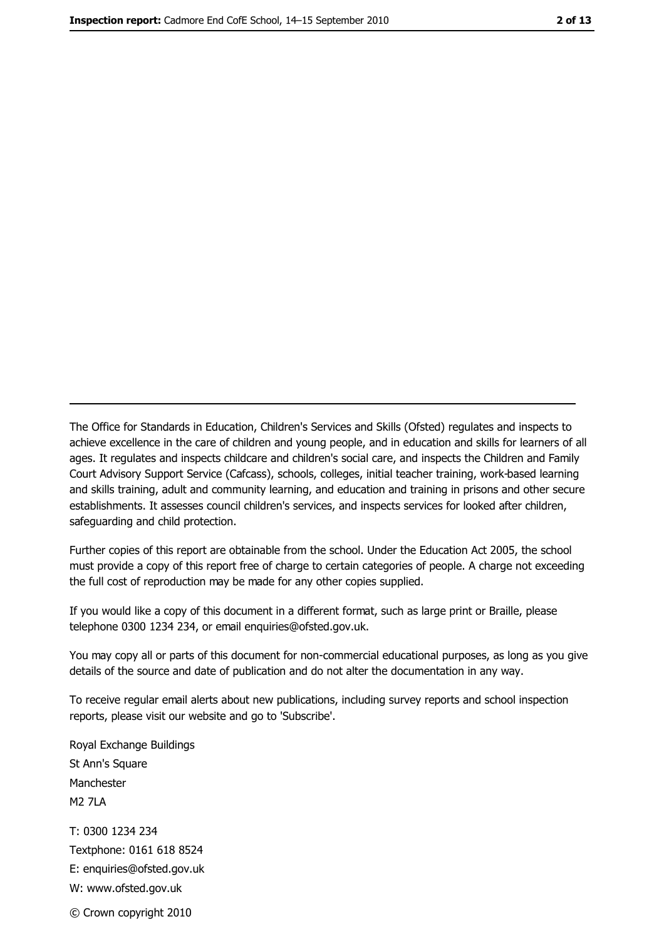The Office for Standards in Education, Children's Services and Skills (Ofsted) regulates and inspects to achieve excellence in the care of children and young people, and in education and skills for learners of all ages. It regulates and inspects childcare and children's social care, and inspects the Children and Family Court Advisory Support Service (Cafcass), schools, colleges, initial teacher training, work-based learning and skills training, adult and community learning, and education and training in prisons and other secure establishments. It assesses council children's services, and inspects services for looked after children, safeguarding and child protection.

Further copies of this report are obtainable from the school. Under the Education Act 2005, the school must provide a copy of this report free of charge to certain categories of people. A charge not exceeding the full cost of reproduction may be made for any other copies supplied.

If you would like a copy of this document in a different format, such as large print or Braille, please telephone 0300 1234 234, or email enquiries@ofsted.gov.uk.

You may copy all or parts of this document for non-commercial educational purposes, as long as you give details of the source and date of publication and do not alter the documentation in any way.

To receive regular email alerts about new publications, including survey reports and school inspection reports, please visit our website and go to 'Subscribe'.

Royal Exchange Buildings St Ann's Square Manchester **M2 7I A** T: 0300 1234 234 Textphone: 0161 618 8524 E: enquiries@ofsted.gov.uk W: www.ofsted.gov.uk © Crown copyright 2010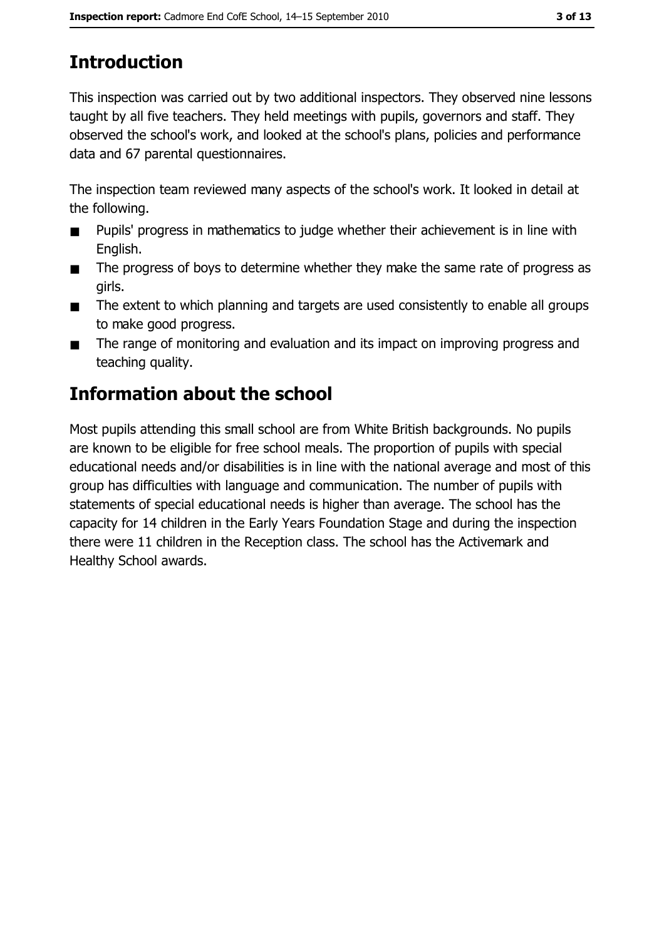# **Introduction**

This inspection was carried out by two additional inspectors. They observed nine lessons taught by all five teachers. They held meetings with pupils, governors and staff. They observed the school's work, and looked at the school's plans, policies and performance data and 67 parental questionnaires.

The inspection team reviewed many aspects of the school's work. It looked in detail at the following.

- Pupils' progress in mathematics to judge whether their achievement is in line with  $\blacksquare$ English.
- The progress of boys to determine whether they make the same rate of progress as  $\blacksquare$ girls.
- The extent to which planning and targets are used consistently to enable all groups  $\blacksquare$ to make good progress.
- The range of monitoring and evaluation and its impact on improving progress and  $\blacksquare$ teaching quality.

# **Information about the school**

Most pupils attending this small school are from White British backgrounds. No pupils are known to be eligible for free school meals. The proportion of pupils with special educational needs and/or disabilities is in line with the national average and most of this group has difficulties with language and communication. The number of pupils with statements of special educational needs is higher than average. The school has the capacity for 14 children in the Early Years Foundation Stage and during the inspection there were 11 children in the Reception class. The school has the Activemark and Healthy School awards.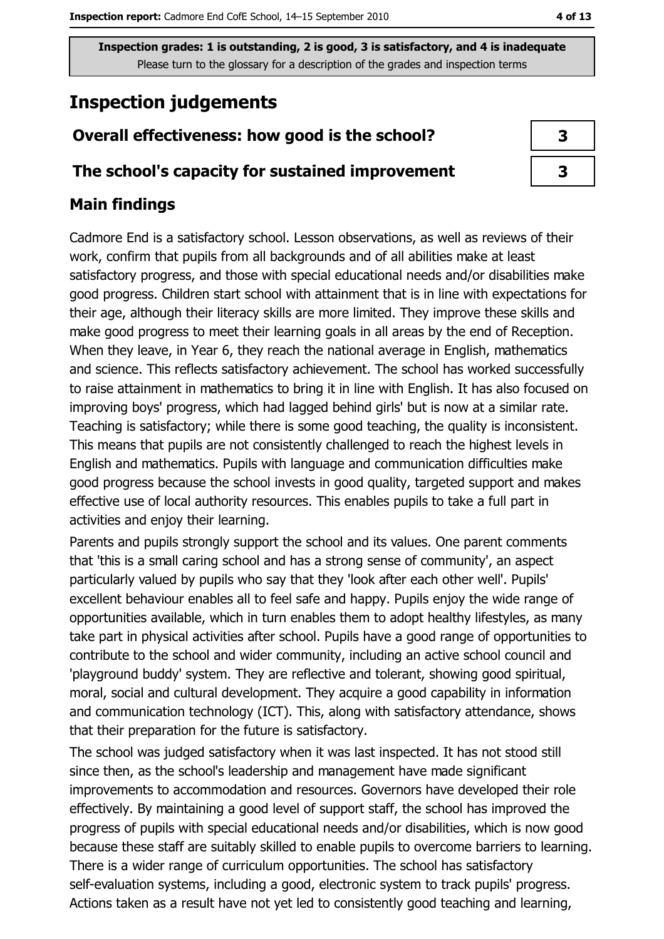Inspection grades: 1 is outstanding, 2 is good, 3 is satisfactory, and 4 is inadequate Please turn to the glossary for a description of the grades and inspection terms

# **Inspection judgements**

# Overall effectiveness: how good is the school?

## The school's capacity for sustained improvement

# **Main findings**

Cadmore End is a satisfactory school. Lesson observations, as well as reviews of their work, confirm that pupils from all backgrounds and of all abilities make at least satisfactory progress, and those with special educational needs and/or disabilities make good progress. Children start school with attainment that is in line with expectations for their age, although their literacy skills are more limited. They improve these skills and make good progress to meet their learning goals in all areas by the end of Reception. When they leave, in Year 6, they reach the national average in English, mathematics and science. This reflects satisfactory achievement. The school has worked successfully to raise attainment in mathematics to bring it in line with English. It has also focused on improving boys' progress, which had lagged behind girls' but is now at a similar rate. Teaching is satisfactory; while there is some good teaching, the quality is inconsistent. This means that pupils are not consistently challenged to reach the highest levels in English and mathematics. Pupils with language and communication difficulties make good progress because the school invests in good quality, targeted support and makes effective use of local authority resources. This enables pupils to take a full part in activities and enjoy their learning.

Parents and pupils strongly support the school and its values. One parent comments that 'this is a small caring school and has a strong sense of community', an aspect particularly valued by pupils who say that they 'look after each other well'. Pupils' excellent behaviour enables all to feel safe and happy. Pupils enjoy the wide range of opportunities available, which in turn enables them to adopt healthy lifestyles, as many take part in physical activities after school. Pupils have a good range of opportunities to contribute to the school and wider community, including an active school council and 'playground buddy' system. They are reflective and tolerant, showing good spiritual, moral, social and cultural development. They acquire a good capability in information and communication technology (ICT). This, along with satisfactory attendance, shows that their preparation for the future is satisfactory.

The school was judged satisfactory when it was last inspected. It has not stood still since then, as the school's leadership and management have made significant improvements to accommodation and resources. Governors have developed their role effectively. By maintaining a good level of support staff, the school has improved the progress of pupils with special educational needs and/or disabilities, which is now good because these staff are suitably skilled to enable pupils to overcome barriers to learning. There is a wider range of curriculum opportunities. The school has satisfactory self-evaluation systems, including a good, electronic system to track pupils' progress. Actions taken as a result have not yet led to consistently good teaching and learning,

| 3 |
|---|
| 3 |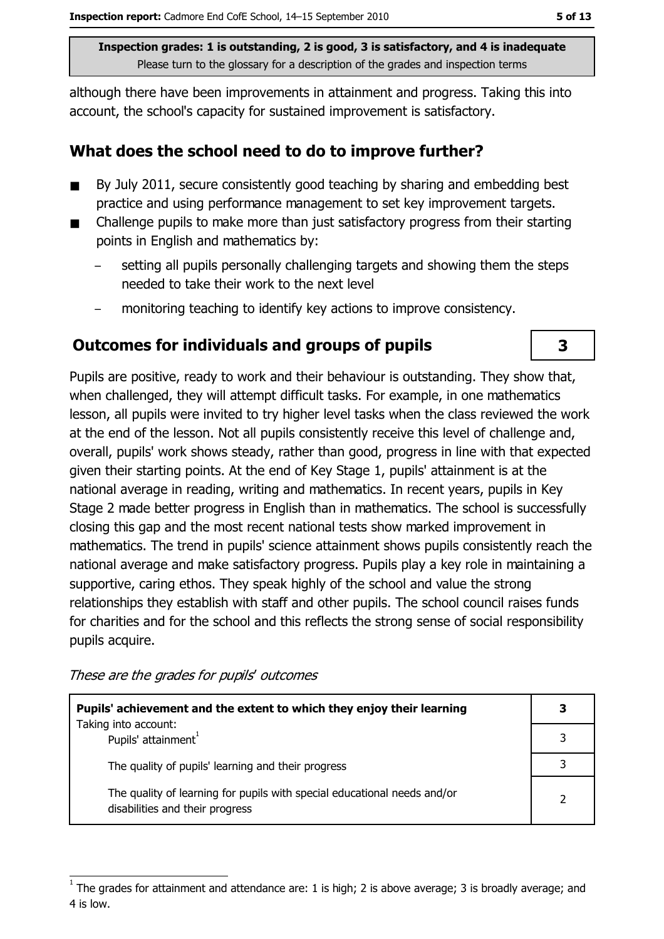Inspection grades: 1 is outstanding, 2 is good, 3 is satisfactory, and 4 is inadequate Please turn to the glossary for a description of the grades and inspection terms

although there have been improvements in attainment and progress. Taking this into account, the school's capacity for sustained improvement is satisfactory.

## What does the school need to do to improve further?

- By July 2011, secure consistently good teaching by sharing and embedding best  $\blacksquare$ practice and using performance management to set key improvement targets.
- Challenge pupils to make more than just satisfactory progress from their starting  $\blacksquare$ points in English and mathematics by:
	- setting all pupils personally challenging targets and showing them the steps needed to take their work to the next level
	- monitoring teaching to identify key actions to improve consistency.

# **Outcomes for individuals and groups of pupils**

Pupils are positive, ready to work and their behaviour is outstanding. They show that, when challenged, they will attempt difficult tasks. For example, in one mathematics lesson, all pupils were invited to try higher level tasks when the class reviewed the work at the end of the lesson. Not all pupils consistently receive this level of challenge and, overall, pupils' work shows steady, rather than good, progress in line with that expected given their starting points. At the end of Key Stage 1, pupils' attainment is at the national average in reading, writing and mathematics. In recent years, pupils in Key Stage 2 made better progress in English than in mathematics. The school is successfully closing this gap and the most recent national tests show marked improvement in mathematics. The trend in pupils' science attainment shows pupils consistently reach the national average and make satisfactory progress. Pupils play a key role in maintaining a supportive, caring ethos. They speak highly of the school and value the strong relationships they establish with staff and other pupils. The school council raises funds for charities and for the school and this reflects the strong sense of social responsibility pupils acquire.

These are the grades for pupils' outcomes

| Pupils' achievement and the extent to which they enjoy their learning                                       |  |  |
|-------------------------------------------------------------------------------------------------------------|--|--|
| Taking into account:<br>Pupils' attainment                                                                  |  |  |
| The quality of pupils' learning and their progress                                                          |  |  |
| The quality of learning for pupils with special educational needs and/or<br>disabilities and their progress |  |  |

3

The grades for attainment and attendance are: 1 is high; 2 is above average; 3 is broadly average; and 4 is low.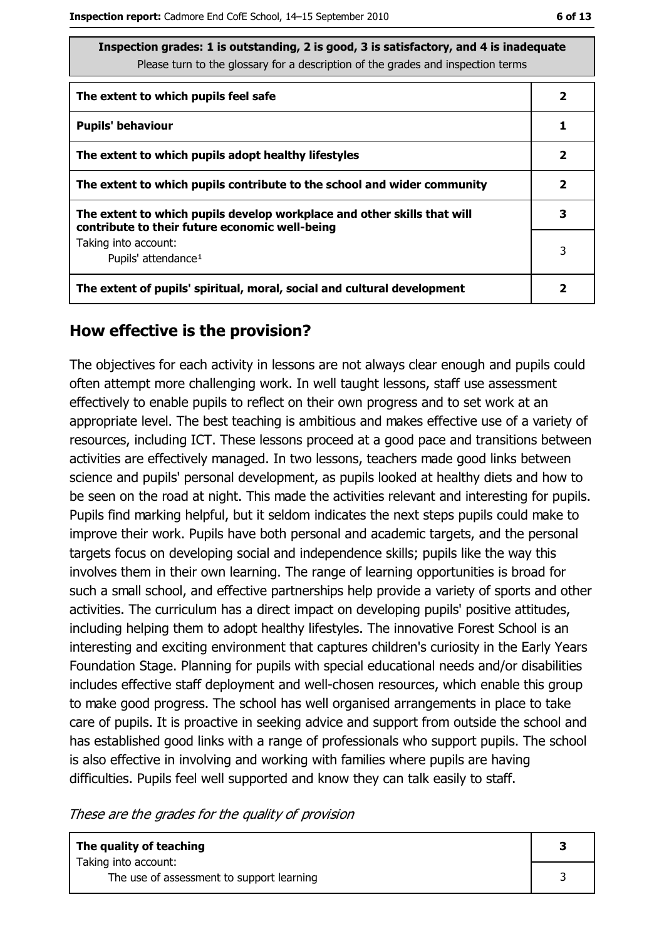| Inspection grades: 1 is outstanding, 2 is good, 3 is satisfactory, and 4 is inadequate<br>Please turn to the glossary for a description of the grades and inspection terms |   |
|----------------------------------------------------------------------------------------------------------------------------------------------------------------------------|---|
| The extent to which pupils feel safe                                                                                                                                       | 2 |
| <b>Pupils' behaviour</b>                                                                                                                                                   |   |
| The extent to which pupils adopt healthy lifestyles                                                                                                                        |   |
| The extent to which pupils contribute to the school and wider community                                                                                                    |   |
| The extent to which pupils develop workplace and other skills that will<br>contribute to their future economic well-being                                                  |   |
| Taking into account:<br>Pupils' attendance <sup>1</sup>                                                                                                                    |   |
| The extent of pupils' spiritual, moral, social and cultural development                                                                                                    |   |

# How effective is the provision?

The objectives for each activity in lessons are not always clear enough and pupils could often attempt more challenging work. In well taught lessons, staff use assessment effectively to enable pupils to reflect on their own progress and to set work at an appropriate level. The best teaching is ambitious and makes effective use of a variety of resources, including ICT. These lessons proceed at a good pace and transitions between activities are effectively managed. In two lessons, teachers made good links between science and pupils' personal development, as pupils looked at healthy diets and how to be seen on the road at night. This made the activities relevant and interesting for pupils. Pupils find marking helpful, but it seldom indicates the next steps pupils could make to improve their work. Pupils have both personal and academic targets, and the personal targets focus on developing social and independence skills; pupils like the way this involves them in their own learning. The range of learning opportunities is broad for such a small school, and effective partnerships help provide a variety of sports and other activities. The curriculum has a direct impact on developing pupils' positive attitudes, including helping them to adopt healthy lifestyles. The innovative Forest School is an interesting and exciting environment that captures children's curiosity in the Early Years Foundation Stage. Planning for pupils with special educational needs and/or disabilities includes effective staff deployment and well-chosen resources, which enable this group to make good progress. The school has well organised arrangements in place to take care of pupils. It is proactive in seeking advice and support from outside the school and has established good links with a range of professionals who support pupils. The school is also effective in involving and working with families where pupils are having difficulties. Pupils feel well supported and know they can talk easily to staff.

These are the grades for the quality of provision

| The quality of teaching                                           |  |
|-------------------------------------------------------------------|--|
| Taking into account:<br>The use of assessment to support learning |  |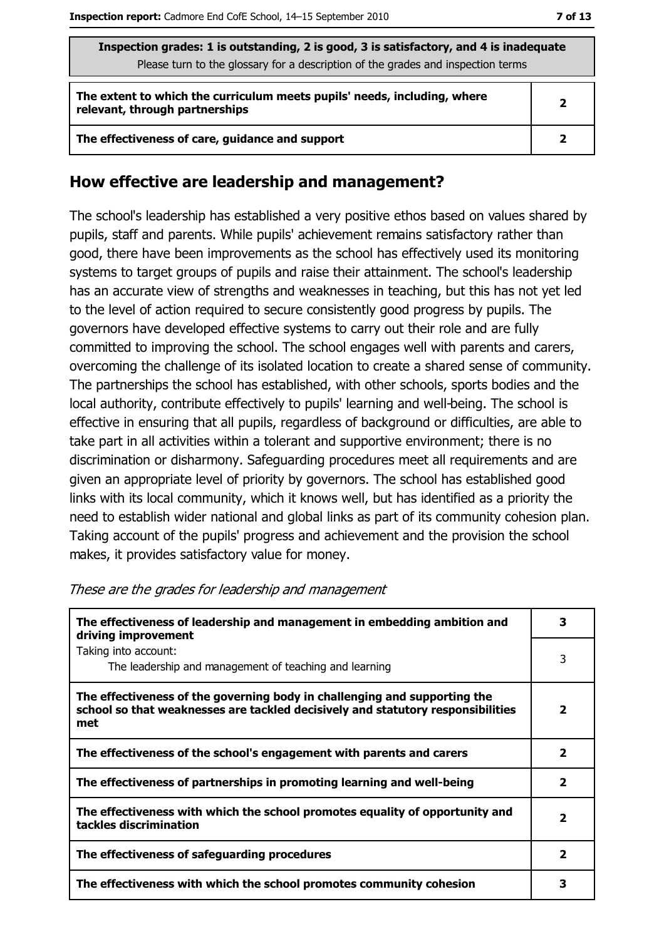| Inspection grades: 1 is outstanding, 2 is good, 3 is satisfactory, and 4 is inadequate<br>Please turn to the glossary for a description of the grades and inspection terms |              |  |
|----------------------------------------------------------------------------------------------------------------------------------------------------------------------------|--------------|--|
| The extent to which the curriculum meets pupils' needs, including, where<br>relevant, through partnerships                                                                 | $\mathbf{2}$ |  |
| The effectiveness of care, guidance and support                                                                                                                            |              |  |

### How effective are leadership and management?

The school's leadership has established a very positive ethos based on values shared by pupils, staff and parents. While pupils' achievement remains satisfactory rather than good, there have been improvements as the school has effectively used its monitoring systems to target groups of pupils and raise their attainment. The school's leadership has an accurate view of strengths and weaknesses in teaching, but this has not yet led to the level of action required to secure consistently good progress by pupils. The governors have developed effective systems to carry out their role and are fully committed to improving the school. The school engages well with parents and carers, overcoming the challenge of its isolated location to create a shared sense of community. The partnerships the school has established, with other schools, sports bodies and the local authority, contribute effectively to pupils' learning and well-being. The school is effective in ensuring that all pupils, regardless of background or difficulties, are able to take part in all activities within a tolerant and supportive environment; there is no discrimination or disharmony. Safeguarding procedures meet all requirements and are given an appropriate level of priority by governors. The school has established good links with its local community, which it knows well, but has identified as a priority the need to establish wider national and global links as part of its community cohesion plan. Taking account of the pupils' progress and achievement and the provision the school makes, it provides satisfactory value for money.

| The effectiveness of leadership and management in embedding ambition and<br>driving improvement                                                                     |   |  |
|---------------------------------------------------------------------------------------------------------------------------------------------------------------------|---|--|
| Taking into account:<br>The leadership and management of teaching and learning                                                                                      | 3 |  |
| The effectiveness of the governing body in challenging and supporting the<br>school so that weaknesses are tackled decisively and statutory responsibilities<br>met | 2 |  |
| The effectiveness of the school's engagement with parents and carers                                                                                                |   |  |
| The effectiveness of partnerships in promoting learning and well-being                                                                                              |   |  |
| The effectiveness with which the school promotes equality of opportunity and<br>tackles discrimination                                                              |   |  |
| The effectiveness of safeguarding procedures                                                                                                                        |   |  |
| The effectiveness with which the school promotes community cohesion                                                                                                 |   |  |

#### These are the grades for leadership and management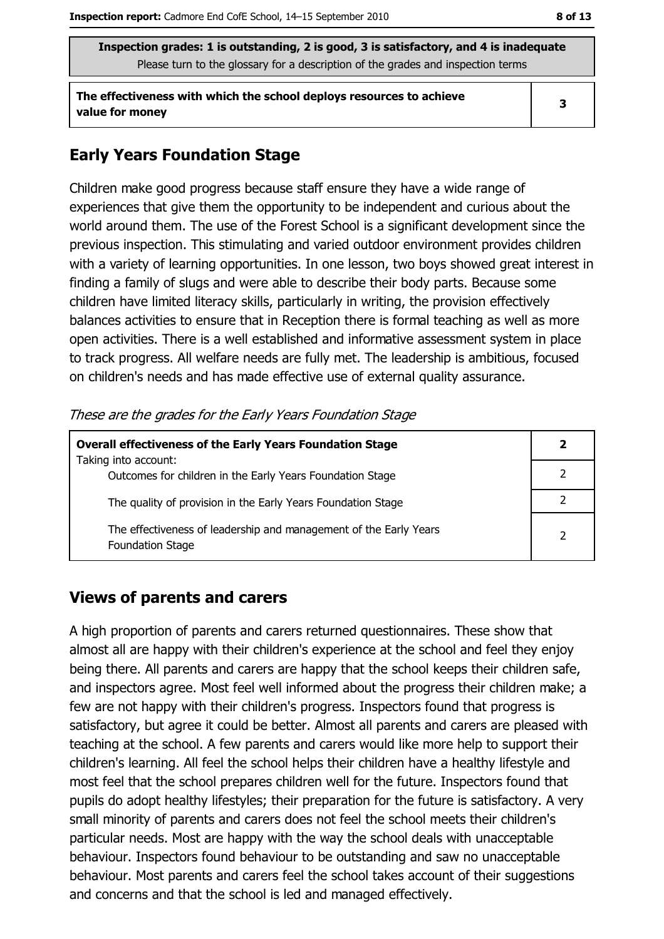Inspection grades: 1 is outstanding, 2 is good, 3 is satisfactory, and 4 is inadequate Please turn to the glossary for a description of the grades and inspection terms

The effectiveness with which the school deploys resources to achieve value for money

 $\overline{\mathbf{3}}$ 

# **Early Years Foundation Stage**

Children make good progress because staff ensure they have a wide range of experiences that give them the opportunity to be independent and curious about the world around them. The use of the Forest School is a significant development since the previous inspection. This stimulating and varied outdoor environment provides children with a variety of learning opportunities. In one lesson, two boys showed great interest in finding a family of slugs and were able to describe their body parts. Because some children have limited literacy skills, particularly in writing, the provision effectively balances activities to ensure that in Reception there is formal teaching as well as more open activities. There is a well established and informative assessment system in place to track progress. All welfare needs are fully met. The leadership is ambitious, focused on children's needs and has made effective use of external quality assurance.

These are the grades for the Early Years Foundation Stage

| <b>Overall effectiveness of the Early Years Foundation Stage</b>                             |                |  |
|----------------------------------------------------------------------------------------------|----------------|--|
| Taking into account:<br>Outcomes for children in the Early Years Foundation Stage            |                |  |
| The quality of provision in the Early Years Foundation Stage                                 |                |  |
| The effectiveness of leadership and management of the Early Years<br><b>Foundation Stage</b> | $\overline{2}$ |  |

## **Views of parents and carers**

A high proportion of parents and carers returned questionnaires. These show that almost all are happy with their children's experience at the school and feel they enjoy being there. All parents and carers are happy that the school keeps their children safe, and inspectors agree. Most feel well informed about the progress their children make; a few are not happy with their children's progress. Inspectors found that progress is satisfactory, but agree it could be better. Almost all parents and carers are pleased with teaching at the school. A few parents and carers would like more help to support their children's learning. All feel the school helps their children have a healthy lifestyle and most feel that the school prepares children well for the future. Inspectors found that pupils do adopt healthy lifestyles; their preparation for the future is satisfactory. A very small minority of parents and carers does not feel the school meets their children's particular needs. Most are happy with the way the school deals with unacceptable behaviour. Inspectors found behaviour to be outstanding and saw no unacceptable behaviour. Most parents and carers feel the school takes account of their suggestions and concerns and that the school is led and managed effectively.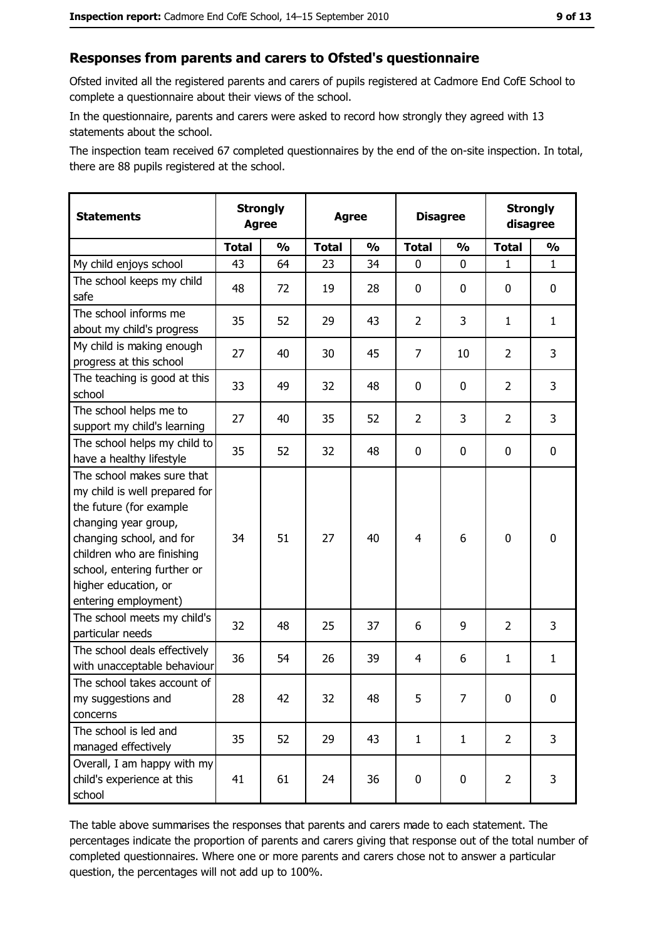# Responses from parents and carers to Ofsted's questionnaire

Ofsted invited all the registered parents and carers of pupils registered at Cadmore End CofE School to complete a questionnaire about their views of the school.

In the questionnaire, parents and carers were asked to record how strongly they agreed with 13 statements about the school.

The inspection team received 67 completed questionnaires by the end of the on-site inspection. In total, there are 88 pupils registered at the school.

| <b>Statements</b>                                                                                                                                                                                                                                       | <b>Strongly</b><br><b>Agree</b> |               | <b>Strongly</b><br><b>Disagree</b><br><b>Agree</b><br>disagree |               |                |               |                |               |
|---------------------------------------------------------------------------------------------------------------------------------------------------------------------------------------------------------------------------------------------------------|---------------------------------|---------------|----------------------------------------------------------------|---------------|----------------|---------------|----------------|---------------|
|                                                                                                                                                                                                                                                         | <b>Total</b>                    | $\frac{0}{0}$ | <b>Total</b>                                                   | $\frac{0}{0}$ | <b>Total</b>   | $\frac{1}{2}$ | <b>Total</b>   | $\frac{1}{2}$ |
| My child enjoys school                                                                                                                                                                                                                                  | 43                              | 64            | 23                                                             | 34            | 0              | 0             | 1              | $\mathbf{1}$  |
| The school keeps my child<br>safe                                                                                                                                                                                                                       | 48                              | 72            | 19                                                             | 28            | $\mathbf 0$    | 0             | 0              | 0             |
| The school informs me<br>about my child's progress                                                                                                                                                                                                      | 35                              | 52            | 29                                                             | 43            | $\overline{2}$ | 3             | 1              | $\mathbf{1}$  |
| My child is making enough<br>progress at this school                                                                                                                                                                                                    | 27                              | 40            | 30                                                             | 45            | $\overline{7}$ | 10            | $\overline{2}$ | 3             |
| The teaching is good at this<br>school                                                                                                                                                                                                                  | 33                              | 49            | 32                                                             | 48            | $\mathbf 0$    | 0             | $\overline{2}$ | 3             |
| The school helps me to<br>support my child's learning                                                                                                                                                                                                   | 27                              | 40            | 35                                                             | 52            | $\overline{2}$ | 3             | $\overline{2}$ | 3             |
| The school helps my child to<br>have a healthy lifestyle                                                                                                                                                                                                | 35                              | 52            | 32                                                             | 48            | $\mathbf 0$    | 0             | 0              | 0             |
| The school makes sure that<br>my child is well prepared for<br>the future (for example<br>changing year group,<br>changing school, and for<br>children who are finishing<br>school, entering further or<br>higher education, or<br>entering employment) | 34                              | 51            | 27                                                             | 40            | $\overline{4}$ | 6             | $\mathbf 0$    | $\mathbf 0$   |
| The school meets my child's<br>particular needs                                                                                                                                                                                                         | 32                              | 48            | 25                                                             | 37            | 6              | 9             | 2              | 3             |
| The school deals effectively<br>with unacceptable behaviour                                                                                                                                                                                             | 36                              | 54            | 26                                                             | 39            | $\overline{4}$ | 6             | $\mathbf{1}$   | $\mathbf{1}$  |
| The school takes account of<br>my suggestions and<br>concerns                                                                                                                                                                                           | 28                              | 42            | 32                                                             | 48            | 5              | 7             | 0              | 0             |
| The school is led and<br>managed effectively                                                                                                                                                                                                            | 35                              | 52            | 29                                                             | 43            | $\mathbf{1}$   | $\mathbf{1}$  | $\overline{2}$ | 3             |
| Overall, I am happy with my<br>child's experience at this<br>school                                                                                                                                                                                     | 41                              | 61            | 24                                                             | 36            | $\pmb{0}$      | 0             | $\overline{2}$ | 3             |

The table above summarises the responses that parents and carers made to each statement. The percentages indicate the proportion of parents and carers giving that response out of the total number of completed questionnaires. Where one or more parents and carers chose not to answer a particular question, the percentages will not add up to 100%.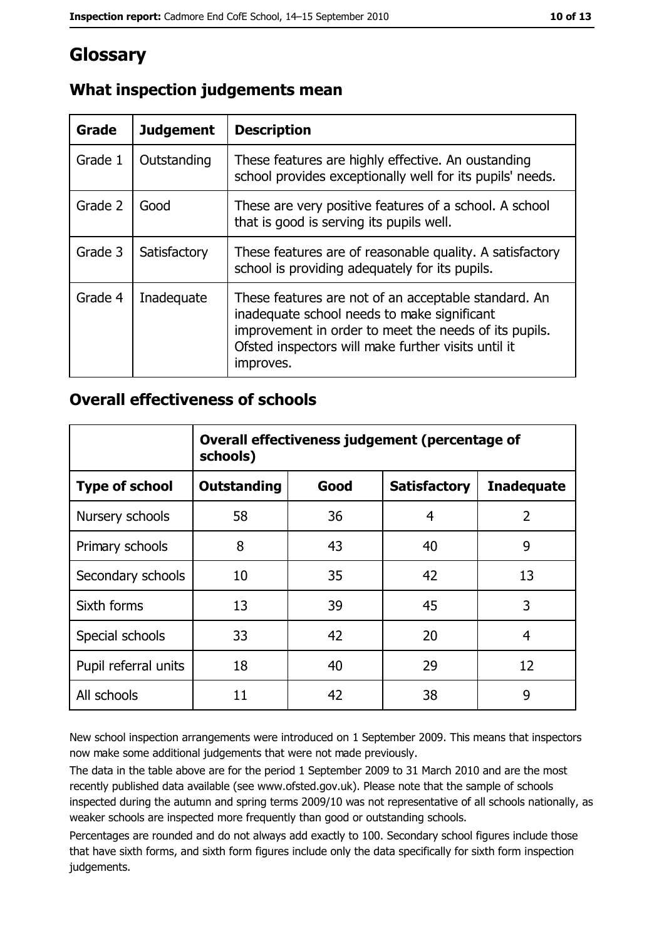# Glossary

| <b>Grade</b> | <b>Judgement</b> | <b>Description</b>                                                                                                                                                                                                               |
|--------------|------------------|----------------------------------------------------------------------------------------------------------------------------------------------------------------------------------------------------------------------------------|
| Grade 1      | Outstanding      | These features are highly effective. An oustanding<br>school provides exceptionally well for its pupils' needs.                                                                                                                  |
| Grade 2      | Good             | These are very positive features of a school. A school<br>that is good is serving its pupils well.                                                                                                                               |
| Grade 3      | Satisfactory     | These features are of reasonable quality. A satisfactory<br>school is providing adequately for its pupils.                                                                                                                       |
| Grade 4      | Inadequate       | These features are not of an acceptable standard. An<br>inadequate school needs to make significant<br>improvement in order to meet the needs of its pupils.<br>Ofsted inspectors will make further visits until it<br>improves. |

# What inspection judgements mean

## **Overall effectiveness of schools**

|                       | Overall effectiveness judgement (percentage of<br>schools) |      |                     |                   |  |
|-----------------------|------------------------------------------------------------|------|---------------------|-------------------|--|
| <b>Type of school</b> | <b>Outstanding</b>                                         | Good | <b>Satisfactory</b> | <b>Inadequate</b> |  |
| Nursery schools       | 58                                                         | 36   | 4                   | $\overline{2}$    |  |
| Primary schools       | 8                                                          | 43   | 40                  | 9                 |  |
| Secondary schools     | 10                                                         | 35   | 42                  | 13                |  |
| Sixth forms           | 13                                                         | 39   | 45                  | 3                 |  |
| Special schools       | 33                                                         | 42   | 20                  | 4                 |  |
| Pupil referral units  | 18                                                         | 40   | 29                  | 12                |  |
| All schools           | 11                                                         | 42   | 38                  | 9                 |  |

New school inspection arrangements were introduced on 1 September 2009. This means that inspectors now make some additional judgements that were not made previously.

The data in the table above are for the period 1 September 2009 to 31 March 2010 and are the most recently published data available (see www.ofsted.gov.uk). Please note that the sample of schools inspected during the autumn and spring terms 2009/10 was not representative of all schools nationally, as weaker schools are inspected more frequently than good or outstanding schools.

Percentages are rounded and do not always add exactly to 100. Secondary school figures include those that have sixth forms, and sixth form figures include only the data specifically for sixth form inspection judgements.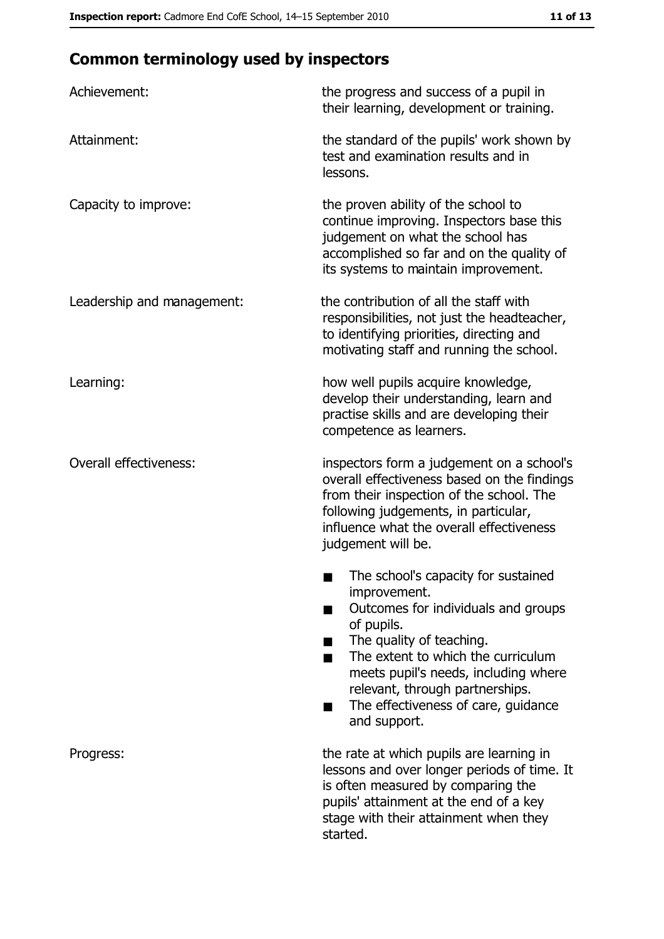# **Common terminology used by inspectors**

| Achievement:                  | the progress and success of a pupil in<br>their learning, development or training.                                                                                                                                                                                                                           |
|-------------------------------|--------------------------------------------------------------------------------------------------------------------------------------------------------------------------------------------------------------------------------------------------------------------------------------------------------------|
| Attainment:                   | the standard of the pupils' work shown by<br>test and examination results and in<br>lessons.                                                                                                                                                                                                                 |
| Capacity to improve:          | the proven ability of the school to<br>continue improving. Inspectors base this<br>judgement on what the school has<br>accomplished so far and on the quality of<br>its systems to maintain improvement.                                                                                                     |
| Leadership and management:    | the contribution of all the staff with<br>responsibilities, not just the headteacher,<br>to identifying priorities, directing and<br>motivating staff and running the school.                                                                                                                                |
| Learning:                     | how well pupils acquire knowledge,<br>develop their understanding, learn and<br>practise skills and are developing their<br>competence as learners.                                                                                                                                                          |
| <b>Overall effectiveness:</b> | inspectors form a judgement on a school's<br>overall effectiveness based on the findings<br>from their inspection of the school. The<br>following judgements, in particular,<br>influence what the overall effectiveness<br>judgement will be.                                                               |
|                               | The school's capacity for sustained<br>improvement.<br>Outcomes for individuals and groups<br>of pupils.<br>The quality of teaching.<br>The extent to which the curriculum<br>meets pupil's needs, including where<br>relevant, through partnerships.<br>The effectiveness of care, guidance<br>and support. |
| Progress:                     | the rate at which pupils are learning in<br>lessons and over longer periods of time. It<br>is often measured by comparing the<br>pupils' attainment at the end of a key<br>stage with their attainment when they<br>started.                                                                                 |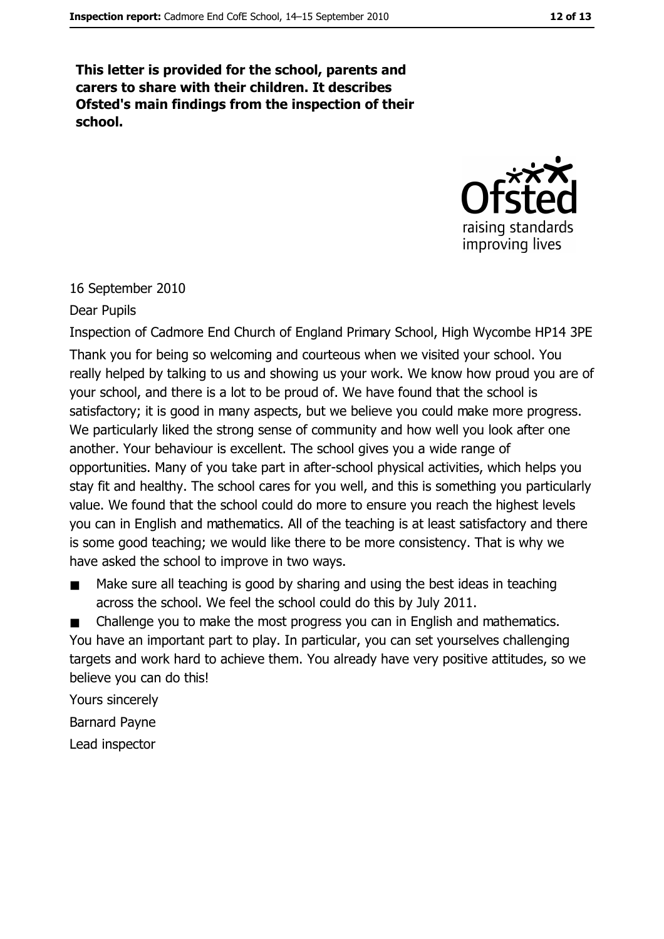This letter is provided for the school, parents and carers to share with their children. It describes Ofsted's main findings from the inspection of their school.



#### 16 September 2010

#### Dear Pupils

Inspection of Cadmore End Church of England Primary School, High Wycombe HP14 3PE Thank you for being so welcoming and courteous when we visited your school. You really helped by talking to us and showing us your work. We know how proud you are of your school, and there is a lot to be proud of. We have found that the school is satisfactory; it is good in many aspects, but we believe you could make more progress. We particularly liked the strong sense of community and how well you look after one another. Your behaviour is excellent. The school gives you a wide range of opportunities. Many of you take part in after-school physical activities, which helps you stay fit and healthy. The school cares for you well, and this is something you particularly value. We found that the school could do more to ensure you reach the highest levels you can in English and mathematics. All of the teaching is at least satisfactory and there is some good teaching; we would like there to be more consistency. That is why we have asked the school to improve in two ways.

Make sure all teaching is good by sharing and using the best ideas in teaching  $\blacksquare$ across the school. We feel the school could do this by July 2011.

Challenge you to make the most progress you can in English and mathematics.  $\blacksquare$ You have an important part to play. In particular, you can set yourselves challenging targets and work hard to achieve them. You already have very positive attitudes, so we believe you can do this!

Yours sincerely **Barnard Payne** Lead inspector